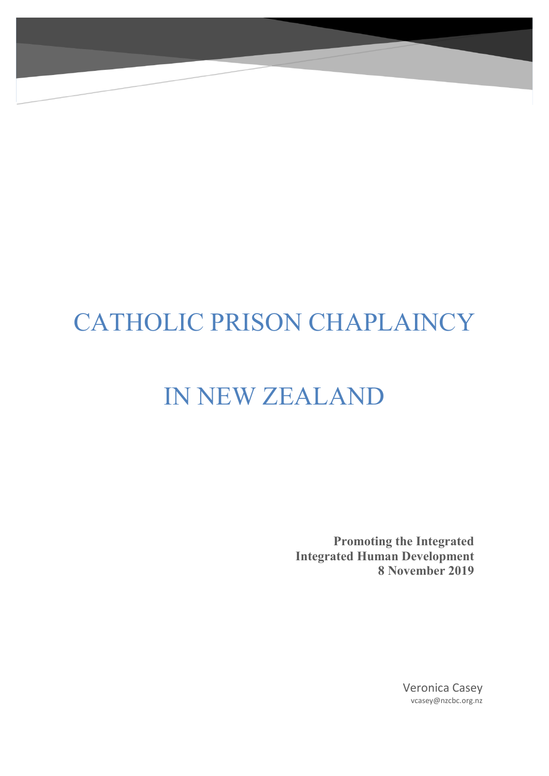# CATHOLIC PRISON CHAPLAINCY

# IN NEW ZEALAND

**Promoting the Integrated Integrated Human Development 8 November 2019**

> Veronica Casey vcasey@nzcbc.org.nz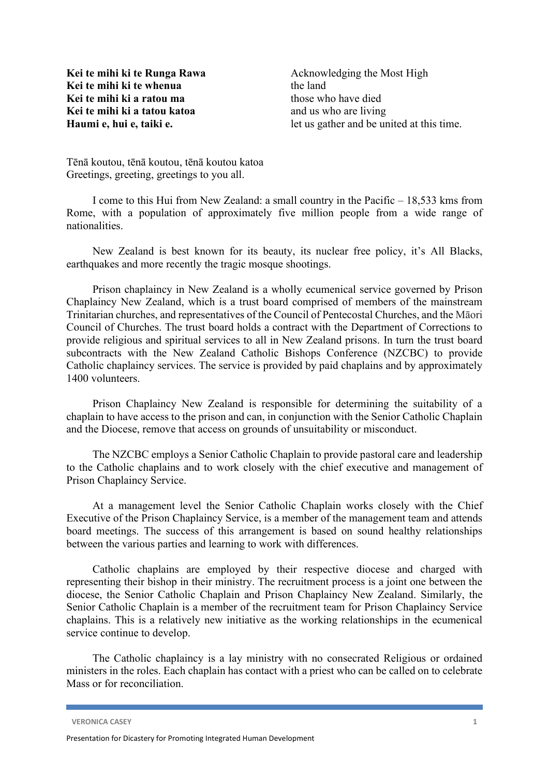**Kei te mihi ki te Runga Rawa Kei te mihi ki te whenua Kei te mihi ki a ratou ma Kei te mihi ki a tatou katoa Haumi e, hui e, taiki e.**

Acknowledging the Most High the land those who have died and us who are living let us gather and be united at this time.

Tēnā koutou, tēnā koutou, tēnā koutou katoa Greetings, greeting, greetings to you all.

I come to this Hui from New Zealand: a small country in the Pacific – 18,533 kms from Rome, with a population of approximately five million people from a wide range of nationalities.

New Zealand is best known for its beauty, its nuclear free policy, it's All Blacks, earthquakes and more recently the tragic mosque shootings.

Prison chaplaincy in New Zealand is a wholly ecumenical service governed by Prison Chaplaincy New Zealand, which is a trust board comprised of members of the mainstream Trinitarian churches, and representatives of the Council of Pentecostal Churches, and the Māori Council of Churches. The trust board holds a contract with the Department of Corrections to provide religious and spiritual services to all in New Zealand prisons. In turn the trust board subcontracts with the New Zealand Catholic Bishops Conference (NZCBC) to provide Catholic chaplaincy services. The service is provided by paid chaplains and by approximately 1400 volunteers.

Prison Chaplaincy New Zealand is responsible for determining the suitability of a chaplain to have access to the prison and can, in conjunction with the Senior Catholic Chaplain and the Diocese, remove that access on grounds of unsuitability or misconduct.

The NZCBC employs a Senior Catholic Chaplain to provide pastoral care and leadership to the Catholic chaplains and to work closely with the chief executive and management of Prison Chaplaincy Service.

At a management level the Senior Catholic Chaplain works closely with the Chief Executive of the Prison Chaplaincy Service, is a member of the management team and attends board meetings. The success of this arrangement is based on sound healthy relationships between the various parties and learning to work with differences.

Catholic chaplains are employed by their respective diocese and charged with representing their bishop in their ministry. The recruitment process is a joint one between the diocese, the Senior Catholic Chaplain and Prison Chaplaincy New Zealand. Similarly, the Senior Catholic Chaplain is a member of the recruitment team for Prison Chaplaincy Service chaplains. This is a relatively new initiative as the working relationships in the ecumenical service continue to develop.

The Catholic chaplaincy is a lay ministry with no consecrated Religious or ordained ministers in the roles. Each chaplain has contact with a priest who can be called on to celebrate Mass or for reconciliation.

**VERONICA CASEY 1**

Presentation for Dicastery for Promoting Integrated Human Development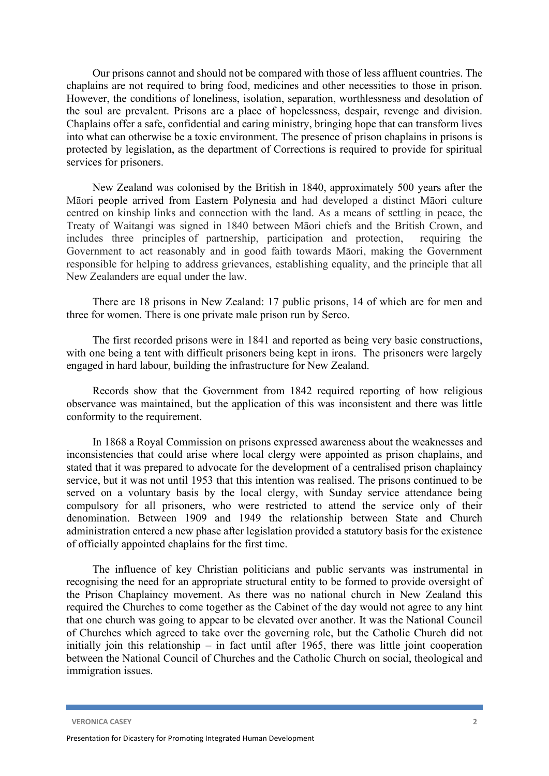Our prisons cannot and should not be compared with those of less affluent countries. The chaplains are not required to bring food, medicines and other necessities to those in prison. However, the conditions of loneliness, isolation, separation, worthlessness and desolation of the soul are prevalent. Prisons are a place of hopelessness, despair, revenge and division. Chaplains offer a safe, confidential and caring ministry, bringing hope that can transform lives into what can otherwise be a toxic environment. The presence of prison chaplains in prisons is protected by legislation, as the department of Corrections is required to provide for spiritual services for prisoners.

New Zealand was colonised by the British in 1840, approximately 500 years after the Māori people arrived from Eastern Polynesia and had developed a distinct Māori culture centred on kinship links and connection with the land. As a means of settling in peace, the Treaty of Waitangi was signed in 1840 between Māori chiefs and the British Crown, and includes three principles of partnership, participation and protection, requiring the Government to act reasonably and in good faith towards Māori, making the Government responsible for helping to address grievances, establishing equality, and the principle that all New Zealanders are equal under the law.

There are 18 prisons in New Zealand: 17 public prisons, 14 of which are for men and three for women. There is one private male prison run by Serco.

The first recorded prisons were in 1841 and reported as being very basic constructions, with one being a tent with difficult prisoners being kept in irons. The prisoners were largely engaged in hard labour, building the infrastructure for New Zealand.

Records show that the Government from 1842 required reporting of how religious observance was maintained, but the application of this was inconsistent and there was little conformity to the requirement.

In 1868 a Royal Commission on prisons expressed awareness about the weaknesses and inconsistencies that could arise where local clergy were appointed as prison chaplains, and stated that it was prepared to advocate for the development of a centralised prison chaplaincy service, but it was not until 1953 that this intention was realised. The prisons continued to be served on a voluntary basis by the local clergy, with Sunday service attendance being compulsory for all prisoners, who were restricted to attend the service only of their denomination. Between 1909 and 1949 the relationship between State and Church administration entered a new phase after legislation provided a statutory basis for the existence of officially appointed chaplains for the first time.

The influence of key Christian politicians and public servants was instrumental in recognising the need for an appropriate structural entity to be formed to provide oversight of the Prison Chaplaincy movement. As there was no national church in New Zealand this required the Churches to come together as the Cabinet of the day would not agree to any hint that one church was going to appear to be elevated over another. It was the National Council of Churches which agreed to take over the governing role, but the Catholic Church did not initially join this relationship – in fact until after 1965, there was little joint cooperation between the National Council of Churches and the Catholic Church on social, theological and immigration issues.

**VERONICA CASEY 2**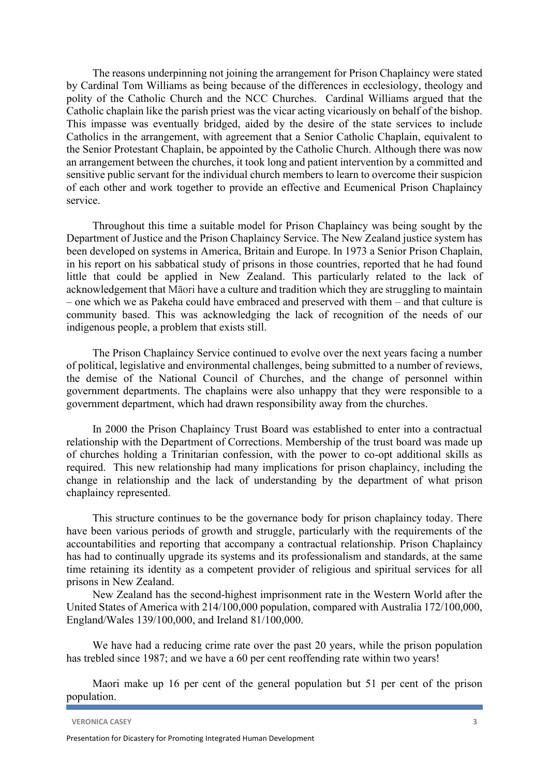The reasons underpinning not joining the arrangement for Prison Chaplaincy were stated by Cardinal Tom Williams as being because of the differences in ecclesiology, theology and polity of the Catholic Church and the NCC Churches. Cardinal Williams argued that the Catholic chaplain like the parish priest was the vicar acting vicariously on behalf of the bishop. This impasse was eventually bridged, aided by the desire of the state services to include Catholics in the arrangement, with agreement that a Senior Catholic Chaplain, equivalent to the Senior Protestant Chaplain, be appointed by the Catholic Church. Although there was now an arrangement between the churches, it took long and patient intervention by a committed and sensitive public servant for the individual church members to learn to overcome their suspicion of each other and work together to provide an effective and Ecumenical Prison Chaplaincy service.

Throughout this time a suitable model for Prison Chaplaincy was being sought by the Department of Justice and the Prison Chaplaincy Service. The New Zealand justice system has been developed on systems in America, Britain and Europe. In 1973 a Senior Prison Chaplain, in his report on his sabbatical study of prisons in those countries, reported that he had found little that could be applied in New Zealand. This particularly related to the lack of acknowledgement that Māori have a culture and tradition which they are struggling to maintain – one which we as Pakeha could have embraced and preserved with them – and that culture is community based. This was acknowledging the lack of recognition of the needs of our indigenous people, a problem that exists still.

The Prison Chaplaincy Service continued to evolve over the next years facing a number of political, legislative and environmental challenges, being submitted to a number of reviews, the demise of the National Council of Churches, and the change of personnel within government departments. The chaplains were also unhappy that they were responsible to a government department, which had drawn responsibility away from the churches.

In 2000 the Prison Chaplaincy Trust Board was established to enter into a contractual relationship with the Department of Corrections. Membership of the trust board was made up of churches holding a Trinitarian confession, with the power to co-opt additional skills as required. This new relationship had many implications for prison chaplaincy, including the change in relationship and the lack of understanding by the department of what prison chaplaincy represented.

This structure continues to be the governance body for prison chaplaincy today. There have been various periods of growth and struggle, particularly with the requirements of the accountabilities and reporting that accompany a contractual relationship. Prison Chaplaincy has had to continually upgrade its systems and its professionalism and standards, at the same time retaining its identity as a competent provider of religious and spiritual services for all prisons in New Zealand.

New Zealand has the second-highest imprisonment rate in the Western World after the United States of America with 214/100,000 population, compared with Australia 172/100,000, England/Wales 139/100,000, and Ireland 81/100,000.

We have had a reducing crime rate over the past 20 years, while the prison population has trebled since 1987; and we have a 60 per cent reoffending rate within two years!

Maori make up 16 per cent of the general population but 51 per cent of the prison population.

**VERONICA CASEY 3**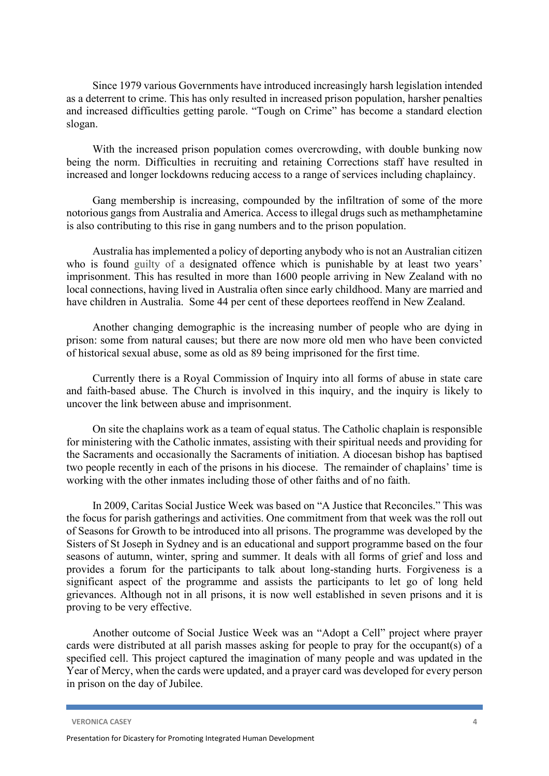Since 1979 various Governments have introduced increasingly harsh legislation intended as a deterrent to crime. This has only resulted in increased prison population, harsher penalties and increased difficulties getting parole. "Tough on Crime" has become a standard election slogan.

With the increased prison population comes overcrowding, with double bunking now being the norm. Difficulties in recruiting and retaining Corrections staff have resulted in increased and longer lockdowns reducing access to a range of services including chaplaincy.

Gang membership is increasing, compounded by the infiltration of some of the more notorious gangs from Australia and America. Access to illegal drugs such as methamphetamine is also contributing to this rise in gang numbers and to the prison population.

Australia has implemented a policy of deporting anybody who is not an Australian citizen who is found guilty of a designated offence which is punishable by at least two years' imprisonment. This has resulted in more than 1600 people arriving in New Zealand with no local connections, having lived in Australia often since early childhood. Many are married and have children in Australia. Some 44 per cent of these deportees reoffend in New Zealand.

Another changing demographic is the increasing number of people who are dying in prison: some from natural causes; but there are now more old men who have been convicted of historical sexual abuse, some as old as 89 being imprisoned for the first time.

Currently there is a Royal Commission of Inquiry into all forms of abuse in state care and faith-based abuse. The Church is involved in this inquiry, and the inquiry is likely to uncover the link between abuse and imprisonment.

On site the chaplains work as a team of equal status. The Catholic chaplain is responsible for ministering with the Catholic inmates, assisting with their spiritual needs and providing for the Sacraments and occasionally the Sacraments of initiation. A diocesan bishop has baptised two people recently in each of the prisons in his diocese. The remainder of chaplains' time is working with the other inmates including those of other faiths and of no faith.

In 2009, Caritas Social Justice Week was based on "A Justice that Reconciles." This was the focus for parish gatherings and activities. One commitment from that week was the roll out of Seasons for Growth to be introduced into all prisons. The programme was developed by the Sisters of St Joseph in Sydney and is an educational and support programme based on the four seasons of autumn, winter, spring and summer. It deals with all forms of grief and loss and provides a forum for the participants to talk about long-standing hurts. Forgiveness is a significant aspect of the programme and assists the participants to let go of long held grievances. Although not in all prisons, it is now well established in seven prisons and it is proving to be very effective.

Another outcome of Social Justice Week was an "Adopt a Cell" project where prayer cards were distributed at all parish masses asking for people to pray for the occupant(s) of a specified cell. This project captured the imagination of many people and was updated in the Year of Mercy, when the cards were updated, and a prayer card was developed for every person in prison on the day of Jubilee.

**VERONICA CASEY 4**

Presentation for Dicastery for Promoting Integrated Human Development